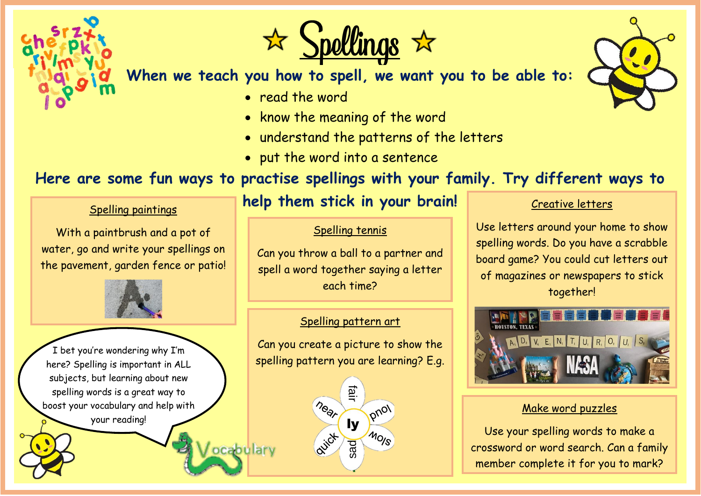

 $S$ pollings  $\vec{x}$ 

**When we teach you how to spell, we want you to be able to:**

- read the word
- know the meaning of the word
- understand the patterns of the letters
- put the word into a sentence

# **Here are some fun ways to practise spellings with your family. Try different ways to**

### Spelling paintings

With a paintbrush and a pot of water, go and write your spellings on the pavement, garden fence or patio!



I bet you're wondering why I'm here? Spelling is important in ALL subjects, but learning about new spelling words is a great way to boost your vocabulary and help with your reading!

# **help them stick in your brain!**

### Spelling tennis

Can you throw a ball to a partner and spell a word together saying a letter each time?

### Spelling pattern art

Can you create a picture to show the spelling pattern you are learning? E.g.

> lysad **P**

pnot

MO<sub>IS</sub>

near

avict

ocabulary

#### Creative letters

Use letters around your home to show spelling words. Do you have a scrabble board game? You could cut letters out of magazines or newspapers to stick together!



### Make word puzzles

Use your spelling words to make a crossword or word search. Can a family member complete it for you to mark?